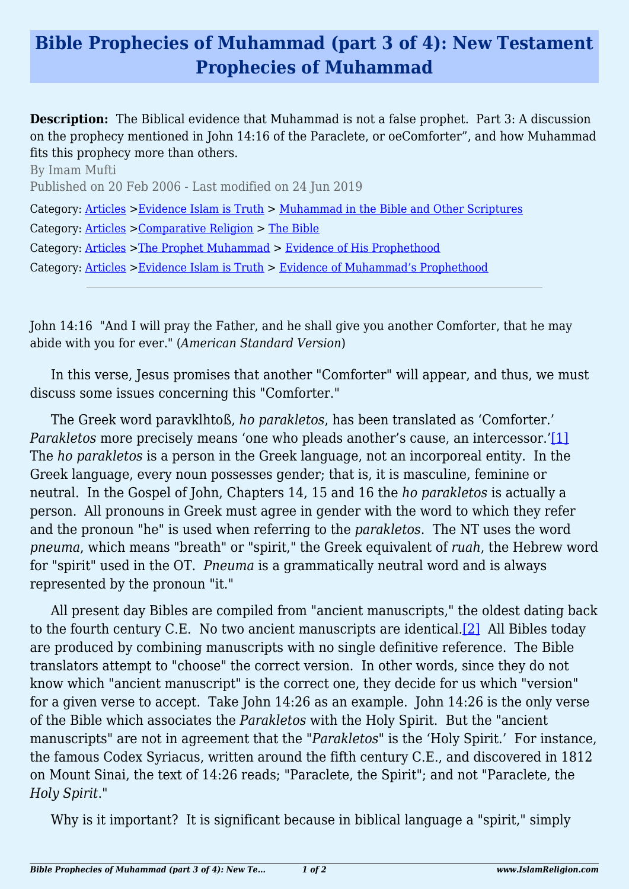## **Bible Prophecies of Muhammad (part 3 of 4): New Testament Prophecies of Muhammad**

**Description:** The Biblical evidence that Muhammad is not a false prophet. Part 3: A discussion on the prophecy mentioned in John 14:16 of the Paraclete, or oeComforter", and how Muhammad fits this prophecy more than others.

By Imam Mufti Published on 20 Feb 2006 - Last modified on 24 Jun 2019 Category: [Articles](http://www.islamreligion.com/articles/) >[Evidence Islam is Truth](http://www.islamreligion.com/category/33/) > [Muhammad in the Bible and Other Scriptures](http://www.islamreligion.com/category/36/) Category: [Articles](http://www.islamreligion.com/articles/) >[Comparative Religion](http://www.islamreligion.com/category/68/) > [The Bible](http://www.islamreligion.com/category/70/) Category: [Articles](http://www.islamreligion.com/articles/) >[The Prophet Muhammad](http://www.islamreligion.com/category/79/) > [Evidence of His Prophethood](http://www.islamreligion.com/category/118/) Category: [Articles](http://www.islamreligion.com/articles/) >[Evidence Islam is Truth](http://www.islamreligion.com/category/33/) > [Evidence of Muhammad's Prophethood](http://www.islamreligion.com/category/38/)

John 14:16 "And I will pray the Father, and he shall give you another Comforter, that he may abide with you for ever." (*American Standard Version*)

In this verse, Jesus promises that another "Comforter" will appear, and thus, we must discuss some issues concerning this "Comforter."

The Greek word paravklhtoß, *ho parakletos*, has been translated as 'Comforter.' *Parakletos* more precisely means 'one who pleads another's cause, an intercessor.'[\[1\]](#page--1-0) The *ho parakletos* is a person in the Greek language, not an incorporeal entity. In the Greek language, every noun possesses gender; that is, it is masculine, feminine or neutral. In the Gospel of John, Chapters 14, 15 and 16 the *ho parakletos* is actually a person. All pronouns in Greek must agree in gender with the word to which they refer and the pronoun "he" is used when referring to the *parakletos*. The NT uses the word *pneuma*, which means "breath" or "spirit," the Greek equivalent of *ruah*, the Hebrew word for "spirit" used in the OT. *Pneuma* is a grammatically neutral word and is always represented by the pronoun "it."

All present day Bibles are compiled from "ancient manuscripts," the oldest dating back to the fourth century C.E. No two ancient manuscripts are identical.[\[2\]](#page--1-0) All Bibles today are produced by combining manuscripts with no single definitive reference. The Bible translators attempt to "choose" the correct version. In other words, since they do not know which "ancient manuscript" is the correct one, they decide for us which "version" for a given verse to accept. Take John 14:26 as an example. John 14:26 is the only verse of the Bible which associates the *Parakletos* with the Holy Spirit. But the "ancient manuscripts" are not in agreement that the "*Parakletos*" is the 'Holy Spirit.' For instance, the famous Codex Syriacus, written around the fifth century C.E., and discovered in 1812 on Mount Sinai, the text of 14:26 reads; "Paraclete, the Spirit"; and not "Paraclete, the *Holy Spirit*."

Why is it important? It is significant because in biblical language a "spirit," simply